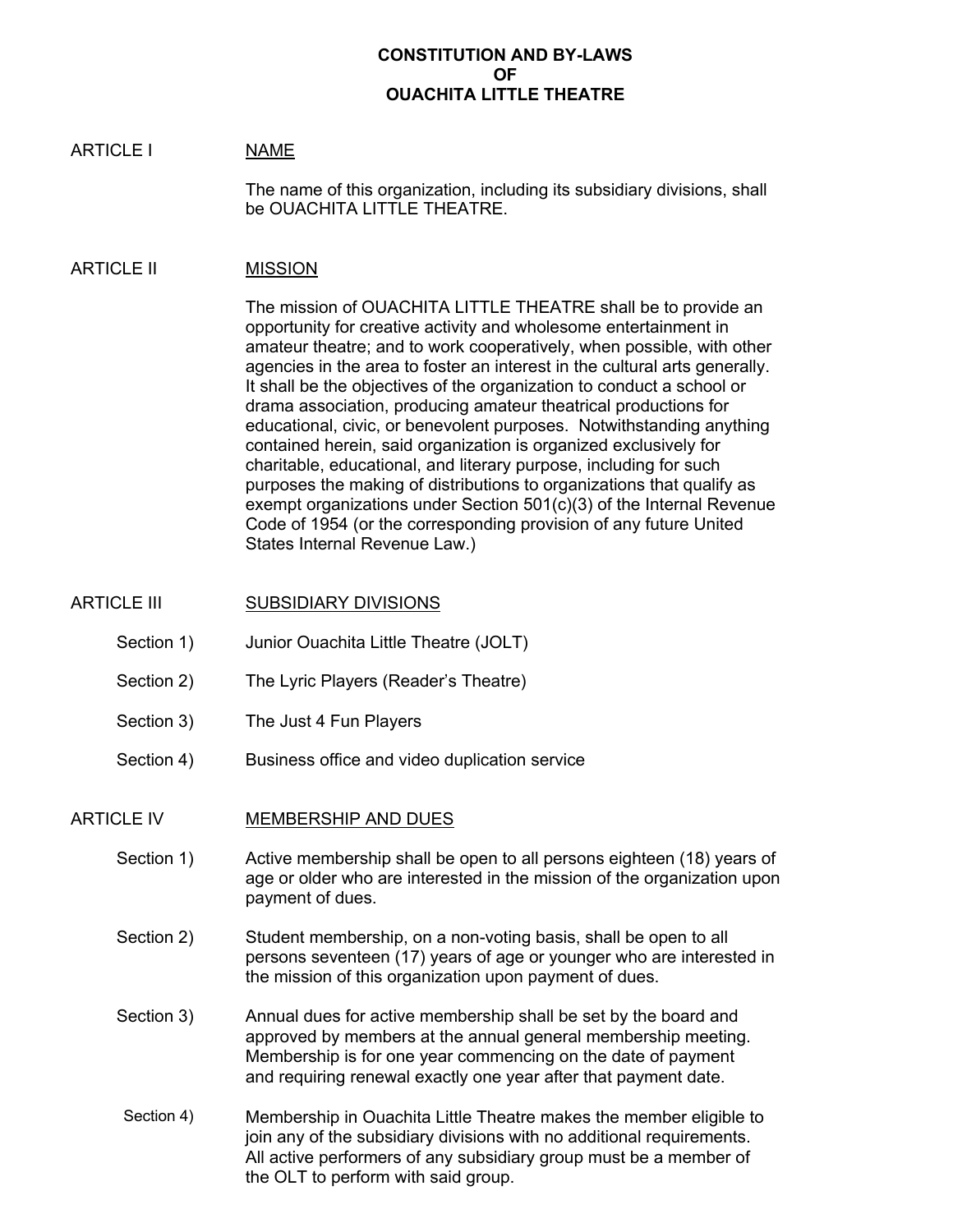### **CONSTITUTION AND BY-LAWS OF OUACHITA LITTLE THEATRE**

#### ARTICLE I NAME

The name of this organization, including its subsidiary divisions, shall be OUACHITA LITTLE THEATRE.

#### ARTICLE II MISSION

The mission of OUACHITA LITTLE THEATRE shall be to provide an opportunity for creative activity and wholesome entertainment in amateur theatre; and to work cooperatively, when possible, with other agencies in the area to foster an interest in the cultural arts generally. It shall be the objectives of the organization to conduct a school or drama association, producing amateur theatrical productions for educational, civic, or benevolent purposes. Notwithstanding anything contained herein, said organization is organized exclusively for charitable, educational, and literary purpose, including for such purposes the making of distributions to organizations that qualify as exempt organizations under Section 501(c)(3) of the Internal Revenue Code of 1954 (or the corresponding provision of any future United States Internal Revenue Law.)

- ARTICLE III SUBSIDIARY DIVISIONS
	- Section 1) Junior Ouachita Little Theatre (JOLT)
	- Section 2) The Lyric Players (Reader's Theatre)
	- Section 3) The Just 4 Fun Players
	- Section 4) Business office and video duplication service

#### ARTICLE IV MEMBERSHIP AND DUES

- Section 1) Active membership shall be open to all persons eighteen (18) years of age or older who are interested in the mission of the organization upon payment of dues.
- Section 2) Student membership, on a non-voting basis, shall be open to all persons seventeen (17) years of age or younger who are interested in the mission of this organization upon payment of dues.
- Section 3) Annual dues for active membership shall be set by the board and approved by members at the annual general membership meeting. Membership is for one year commencing on the date of payment and requiring renewal exactly one year after that payment date.
- Section 4) Membership in Ouachita Little Theatre makes the member eligible to join any of the subsidiary divisions with no additional requirements. All active performers of any subsidiary group must be a member of the OLT to perform with said group.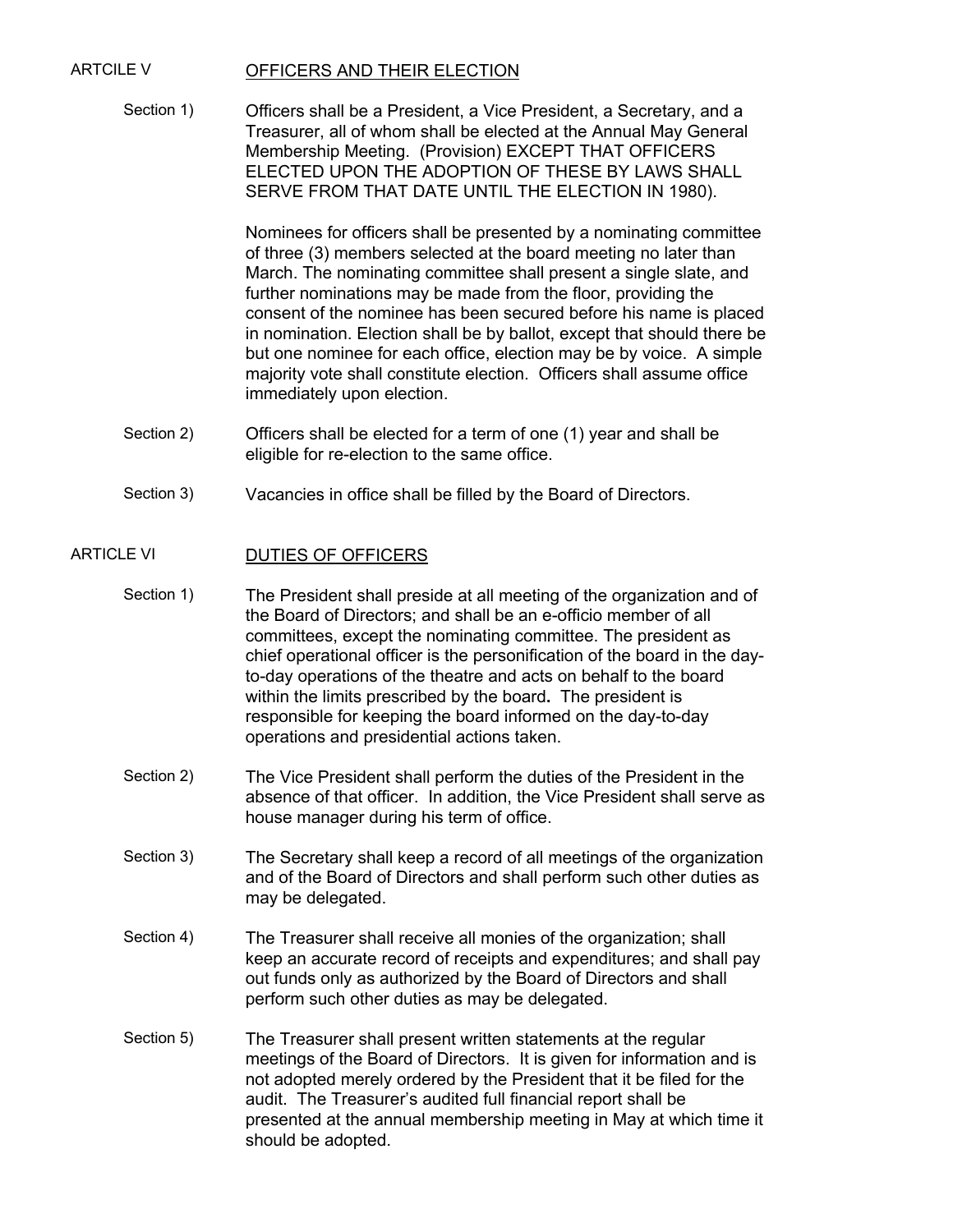### ARTCILE V OFFICERS AND THEIR ELECTION

Section 1) Officers shall be a President, a Vice President, a Secretary, and a Treasurer, all of whom shall be elected at the Annual May General Membership Meeting. (Provision) EXCEPT THAT OFFICERS ELECTED UPON THE ADOPTION OF THESE BY LAWS SHALL SERVE FROM THAT DATE UNTIL THE ELECTION IN 1980).

> Nominees for officers shall be presented by a nominating committee of three (3) members selected at the board meeting no later than March. The nominating committee shall present a single slate, and further nominations may be made from the floor, providing the consent of the nominee has been secured before his name is placed in nomination. Election shall be by ballot, except that should there be but one nominee for each office, election may be by voice. A simple majority vote shall constitute election. Officers shall assume office immediately upon election.

- Section 2) Officers shall be elected for a term of one (1) year and shall be eligible for re-election to the same office.
- Section 3) Vacancies in office shall be filled by the Board of Directors.

#### ARTICLE VI DUTIES OF OFFICERS

- Section 1) The President shall preside at all meeting of the organization and of the Board of Directors; and shall be an e-officio member of all committees, except the nominating committee. The president as chief operational officer is the personification of the board in the dayto-day operations of the theatre and acts on behalf to the board within the limits prescribed by the board**.** The president is responsible for keeping the board informed on the day-to-day operations and presidential actions taken.
- Section 2) The Vice President shall perform the duties of the President in the absence of that officer. In addition, the Vice President shall serve as house manager during his term of office.
- Section 3) The Secretary shall keep a record of all meetings of the organization and of the Board of Directors and shall perform such other duties as may be delegated.
- Section 4) The Treasurer shall receive all monies of the organization; shall keep an accurate record of receipts and expenditures; and shall pay out funds only as authorized by the Board of Directors and shall perform such other duties as may be delegated.
- Section 5) The Treasurer shall present written statements at the regular meetings of the Board of Directors. It is given for information and is not adopted merely ordered by the President that it be filed for the audit. The Treasurer's audited full financial report shall be presented at the annual membership meeting in May at which time it should be adopted.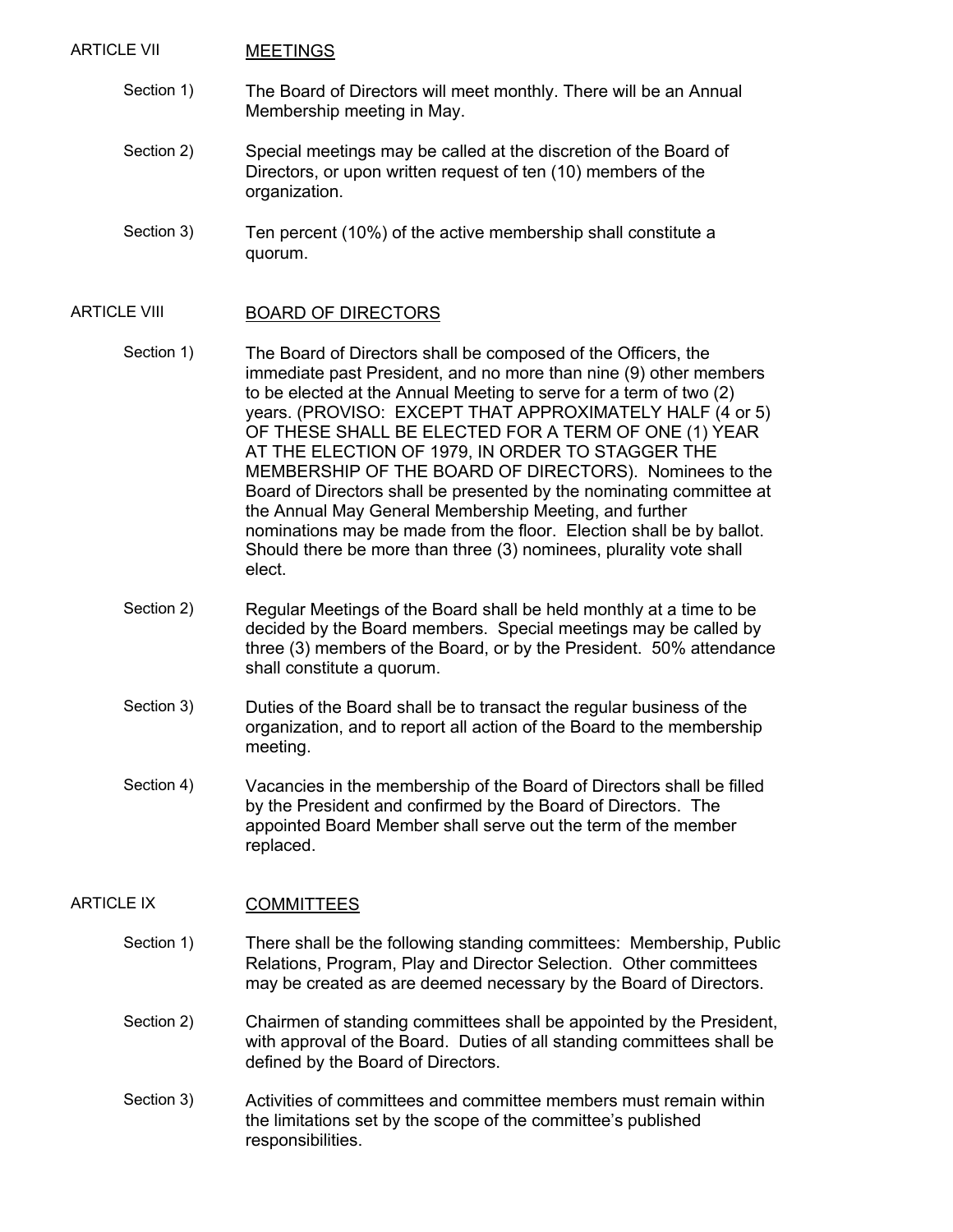#### ARTICLE VII MEETINGS

- Section 1) The Board of Directors will meet monthly. There will be an Annual Membership meeting in May.
- Section 2) Special meetings may be called at the discretion of the Board of Directors, or upon written request of ten (10) members of the organization.
- Section 3) Ten percent (10%) of the active membership shall constitute a quorum.

#### ARTICLE VIII BOARD OF DIRECTORS

- Section 1) The Board of Directors shall be composed of the Officers, the immediate past President, and no more than nine (9) other members to be elected at the Annual Meeting to serve for a term of two (2) years. (PROVISO: EXCEPT THAT APPROXIMATELY HALF (4 or 5) OF THESE SHALL BE ELECTED FOR A TERM OF ONE (1) YEAR AT THE ELECTION OF 1979, IN ORDER TO STAGGER THE MEMBERSHIP OF THE BOARD OF DIRECTORS). Nominees to the Board of Directors shall be presented by the nominating committee at the Annual May General Membership Meeting, and further nominations may be made from the floor. Election shall be by ballot. Should there be more than three (3) nominees, plurality vote shall elect.
- Section 2) Regular Meetings of the Board shall be held monthly at a time to be decided by the Board members. Special meetings may be called by three (3) members of the Board, or by the President. 50% attendance shall constitute a quorum.
- Section 3) Duties of the Board shall be to transact the regular business of the organization, and to report all action of the Board to the membership meeting.
- Section 4) Vacancies in the membership of the Board of Directors shall be filled by the President and confirmed by the Board of Directors. The appointed Board Member shall serve out the term of the member replaced.

#### ARTICLE IX COMMITTEES

- Section 1) There shall be the following standing committees: Membership, Public Relations, Program, Play and Director Selection. Other committees may be created as are deemed necessary by the Board of Directors.
- Section 2) Chairmen of standing committees shall be appointed by the President, with approval of the Board. Duties of all standing committees shall be defined by the Board of Directors.
- Section 3) Activities of committees and committee members must remain within the limitations set by the scope of the committee's published responsibilities.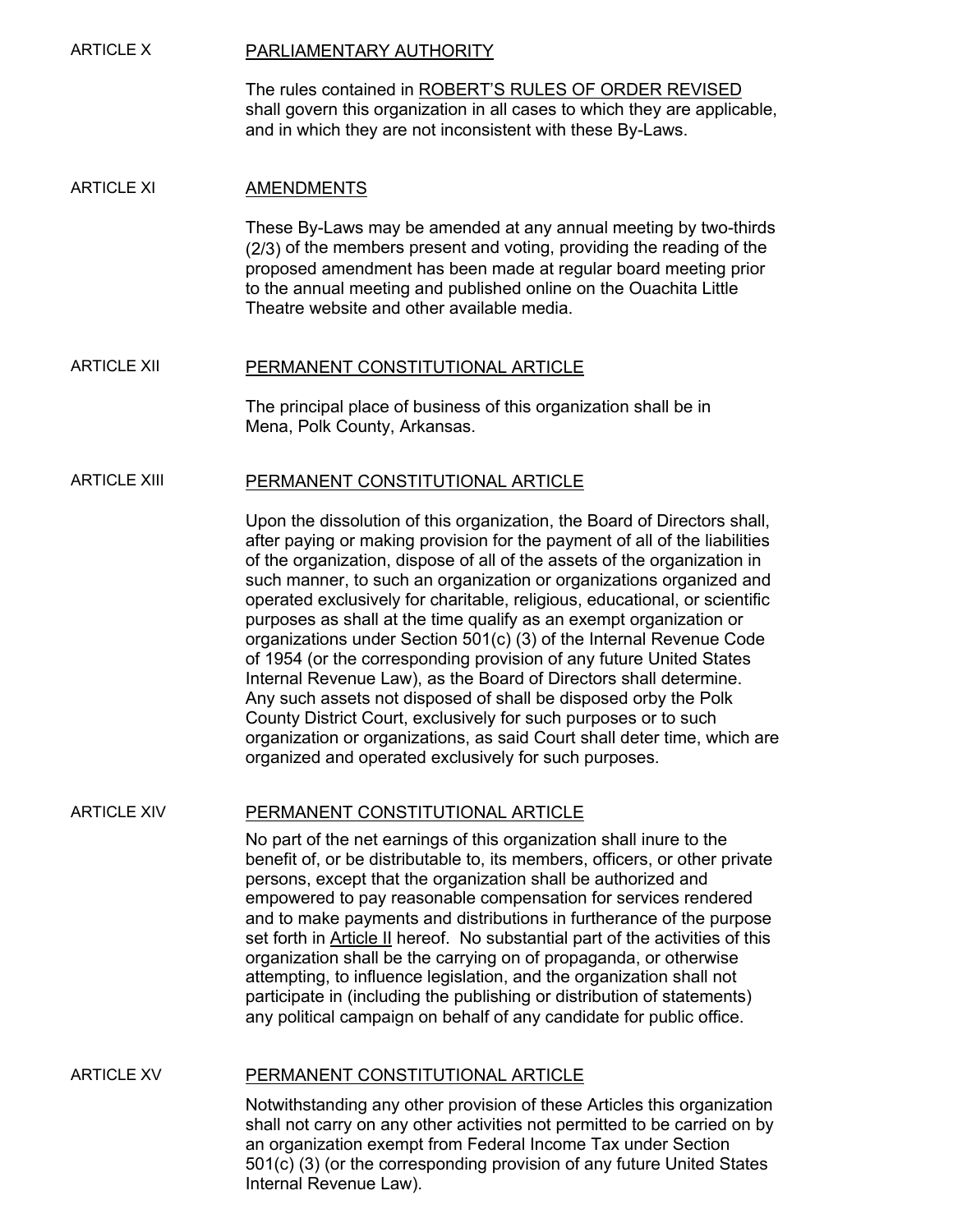## ARTICLE X PARLIAMENTARY AUTHORITY

The rules contained in ROBERT'S RULES OF ORDER REVISED shall govern this organization in all cases to which they are applicable, and in which they are not inconsistent with these By-Laws.

#### ARTICLE XI AMENDMENTS

These By-Laws may be amended at any annual meeting by two-thirds (2/3) of the members present and voting, providing the reading of the proposed amendment has been made at regular board meeting prior to the annual meeting and published online on the Ouachita Little Theatre website and other available media.

#### ARTICLE XII PERMANENT CONSTITUTIONAL ARTICLE

The principal place of business of this organization shall be in Mena, Polk County, Arkansas.

#### ARTICLE XIII PERMANENT CONSTITUTIONAL ARTICLE

Upon the dissolution of this organization, the Board of Directors shall, after paying or making provision for the payment of all of the liabilities of the organization, dispose of all of the assets of the organization in such manner, to such an organization or organizations organized and operated exclusively for charitable, religious, educational, or scientific purposes as shall at the time qualify as an exempt organization or organizations under Section 501(c) (3) of the Internal Revenue Code of 1954 (or the corresponding provision of any future United States Internal Revenue Law), as the Board of Directors shall determine. Any such assets not disposed of shall be disposed orby the Polk County District Court, exclusively for such purposes or to such organization or organizations, as said Court shall deter time, which are organized and operated exclusively for such purposes.

#### ARTICLE XIV PERMANENT CONSTITUTIONAL ARTICLE

No part of the net earnings of this organization shall inure to the benefit of, or be distributable to, its members, officers, or other private persons, except that the organization shall be authorized and empowered to pay reasonable compensation for services rendered and to make payments and distributions in furtherance of the purpose set forth in Article II hereof. No substantial part of the activities of this organization shall be the carrying on of propaganda, or otherwise attempting, to influence legislation, and the organization shall not participate in (including the publishing or distribution of statements) any political campaign on behalf of any candidate for public office.

#### ARTICLE XV PERMANENT CONSTITUTIONAL ARTICLE

Notwithstanding any other provision of these Articles this organization shall not carry on any other activities not permitted to be carried on by an organization exempt from Federal Income Tax under Section 501(c) (3) (or the corresponding provision of any future United States Internal Revenue Law).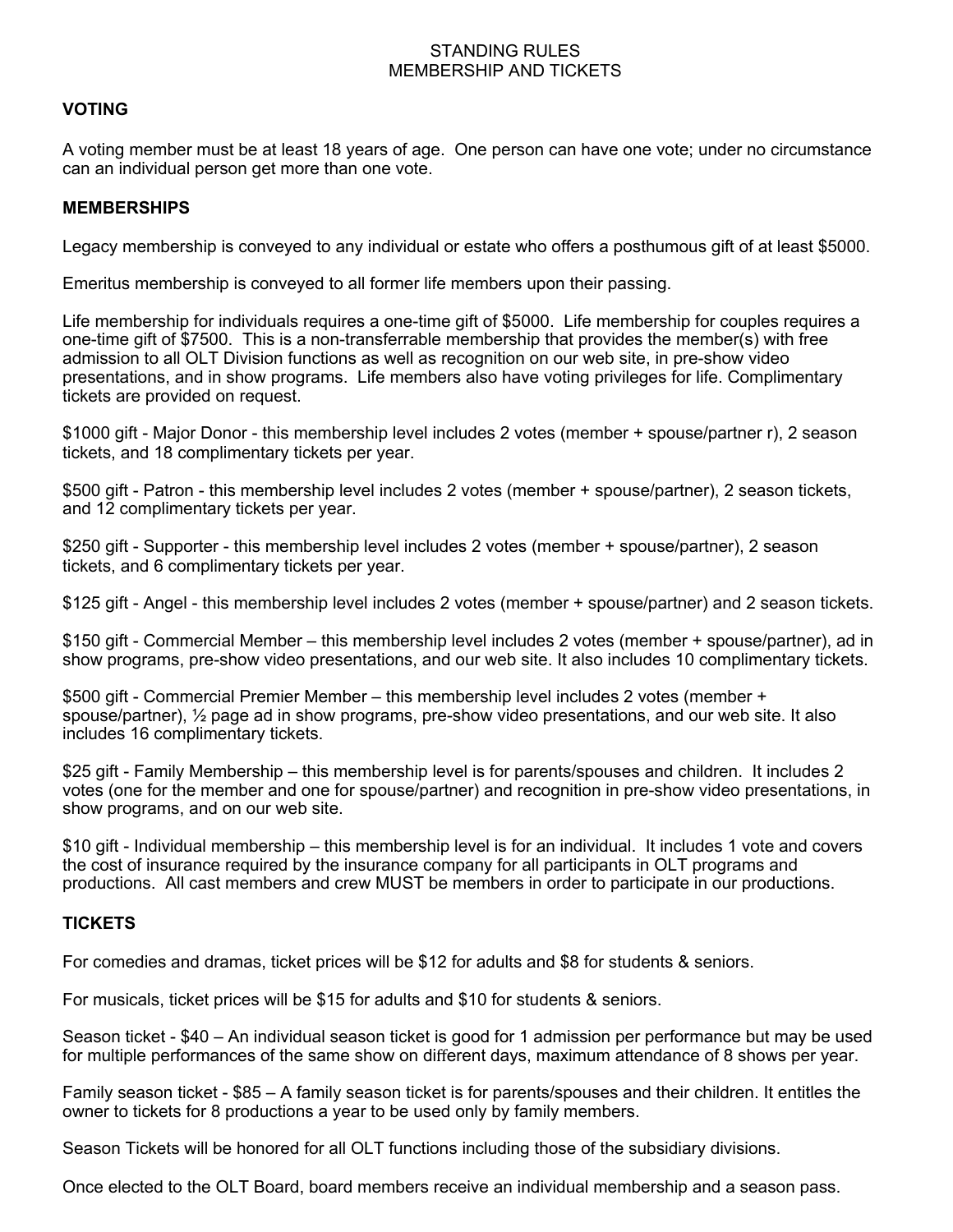### STANDING RULES MEMBERSHIP AND TICKETS

# **VOTING**

A voting member must be at least 18 years of age. One person can have one vote; under no circumstance can an individual person get more than one vote.

#### **MEMBERSHIPS**

Legacy membership is conveyed to any individual or estate who offers a posthumous gift of at least \$5000.

Emeritus membership is conveyed to all former life members upon their passing.

Life membership for individuals requires a one-time gift of \$5000. Life membership for couples requires a one-time gift of \$7500. This is a non-transferrable membership that provides the member(s) with free admission to all OLT Division functions as well as recognition on our web site, in pre-show video presentations, and in show programs. Life members also have voting privileges for life. Complimentary tickets are provided on request.

\$1000 gift - Major Donor - this membership level includes 2 votes (member + spouse/partner r), 2 season tickets, and 18 complimentary tickets per year.

\$500 gift - Patron - this membership level includes 2 votes (member + spouse/partner), 2 season tickets, and 12 complimentary tickets per year.

\$250 gift - Supporter - this membership level includes 2 votes (member + spouse/partner), 2 season tickets, and 6 complimentary tickets per year.

\$125 gift - Angel - this membership level includes 2 votes (member + spouse/partner) and 2 season tickets.

\$150 gift - Commercial Member – this membership level includes 2 votes (member + spouse/partner), ad in show programs, pre-show video presentations, and our web site. It also includes 10 complimentary tickets.

\$500 gift - Commercial Premier Member – this membership level includes 2 votes (member + spouse/partner), ½ page ad in show programs, pre-show video presentations, and our web site. It also includes 16 complimentary tickets.

\$25 gift - Family Membership – this membership level is for parents/spouses and children. It includes 2 votes (one for the member and one for spouse/partner) and recognition in pre-show video presentations, in show programs, and on our web site.

\$10 gift - Individual membership – this membership level is for an individual. It includes 1 vote and covers the cost of insurance required by the insurance company for all participants in OLT programs and productions. All cast members and crew MUST be members in order to participate in our productions.

### **TICKETS**

For comedies and dramas, ticket prices will be \$12 for adults and \$8 for students & seniors.

For musicals, ticket prices will be \$15 for adults and \$10 for students & seniors.

Season ticket - \$40 – An individual season ticket is good for 1 admission per performance but may be used for multiple performances of the same show on different days, maximum attendance of 8 shows per year.

Family season ticket - \$85 – A family season ticket is for parents/spouses and their children. It entitles the owner to tickets for 8 productions a year to be used only by family members.

Season Tickets will be honored for all OLT functions including those of the subsidiary divisions.

Once elected to the OLT Board, board members receive an individual membership and a season pass.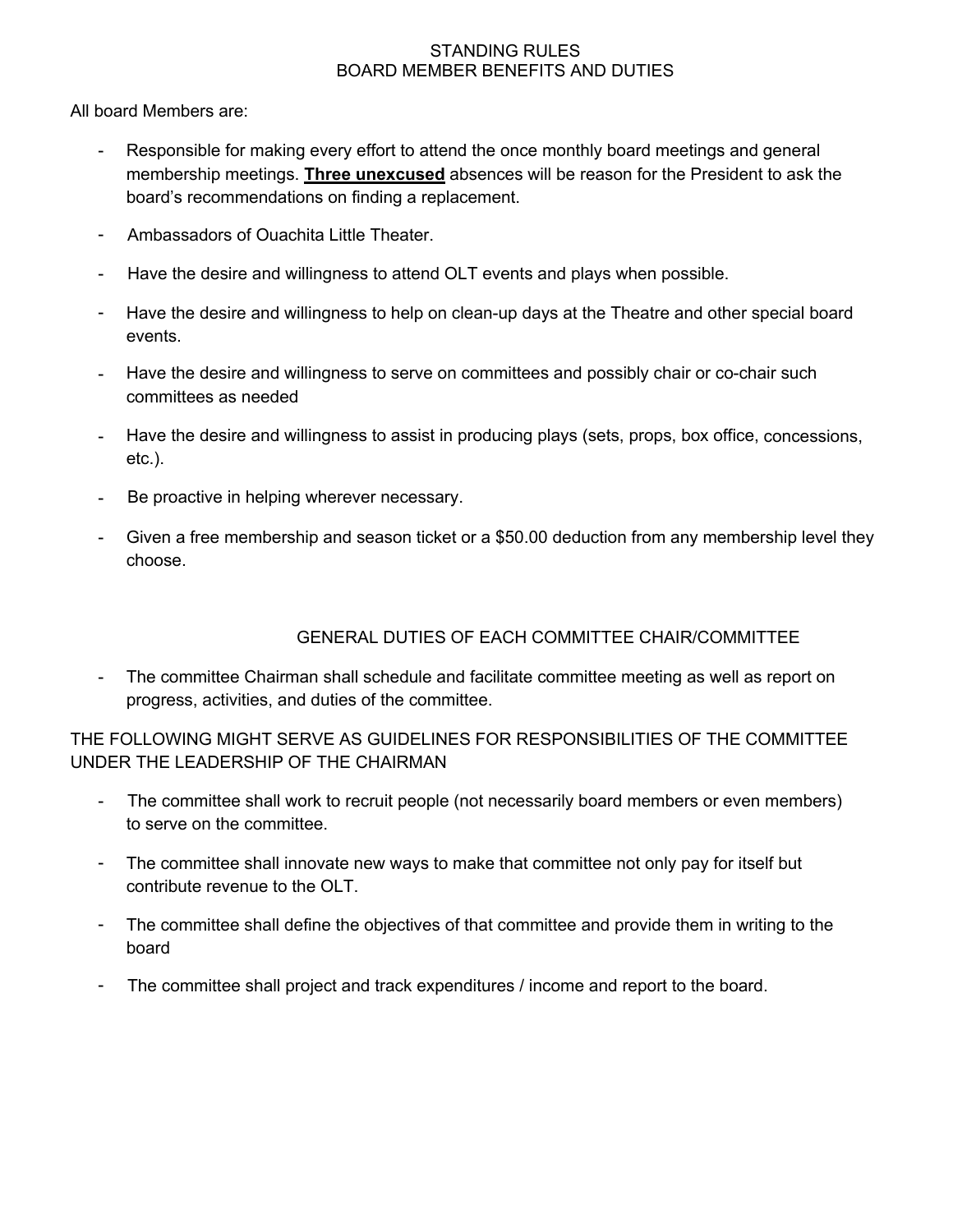### STANDING RULES BOARD MEMBER BENEFITS AND DUTIES

All board Members are:

- Responsible for making every effort to attend the once monthly board meetings and general membership meetings. **Three unexcused** absences will be reason for the President to ask the board's recommendations on finding a replacement.
- Ambassadors of Ouachita Little Theater.
- Have the desire and willingness to attend OLT events and plays when possible.
- Have the desire and willingness to help on clean-up days at the Theatre and other special board events.
- Have the desire and willingness to serve on committees and possibly chair or co-chair such committees as needed
- Have the desire and willingness to assist in producing plays (sets, props, box office, concessions, etc.).
- Be proactive in helping wherever necessary.
- Given a free membership and season ticket or a \$50.00 deduction from any membership level they choose.

# GENERAL DUTIES OF EACH COMMITTEE CHAIR/COMMITTEE

- The committee Chairman shall schedule and facilitate committee meeting as well as report on progress, activities, and duties of the committee.

# THE FOLLOWING MIGHT SERVE AS GUIDELINES FOR RESPONSIBILITIES OF THE COMMITTEE UNDER THE LEADERSHIP OF THE CHAIRMAN

- The committee shall work to recruit people (not necessarily board members or even members) to serve on the committee.
- The committee shall innovate new ways to make that committee not only pay for itself but contribute revenue to the OLT.
- The committee shall define the objectives of that committee and provide them in writing to the board
- The committee shall project and track expenditures / income and report to the board.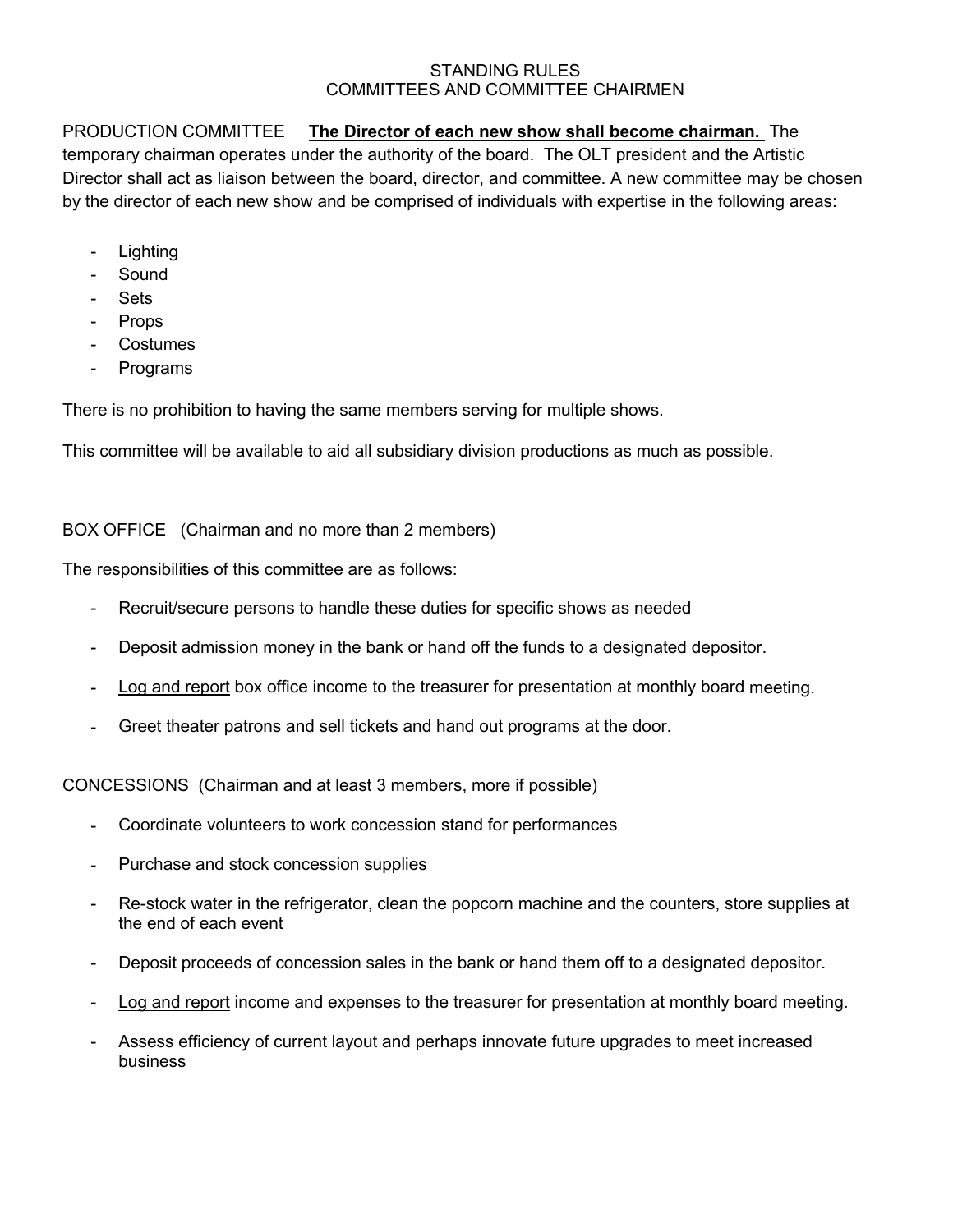### STANDING RULES COMMITTEES AND COMMITTEE CHAIRMEN

# PRODUCTION COMMITTEE **The Director of each new show shall become chairman.** The temporary chairman operates under the authority of the board. The OLT president and the Artistic Director shall act as liaison between the board, director, and committee. A new committee may be chosen by the director of each new show and be comprised of individuals with expertise in the following areas:

- Lighting
- Sound
- Sets
- Props
- Costumes
- Programs

There is no prohibition to having the same members serving for multiple shows.

This committee will be available to aid all subsidiary division productions as much as possible.

BOX OFFICE (Chairman and no more than 2 members)

The responsibilities of this committee are as follows:

- Recruit/secure persons to handle these duties for specific shows as needed
- Deposit admission money in the bank or hand off the funds to a designated depositor.
- Log and report box office income to the treasurer for presentation at monthly board meeting.
- Greet theater patrons and sell tickets and hand out programs at the door.

CONCESSIONS (Chairman and at least 3 members, more if possible)

- Coordinate volunteers to work concession stand for performances
- Purchase and stock concession supplies
- Re-stock water in the refrigerator, clean the popcorn machine and the counters, store supplies at the end of each event
- Deposit proceeds of concession sales in the bank or hand them off to a designated depositor.
- Log and report income and expenses to the treasurer for presentation at monthly board meeting.
- Assess efficiency of current layout and perhaps innovate future upgrades to meet increased business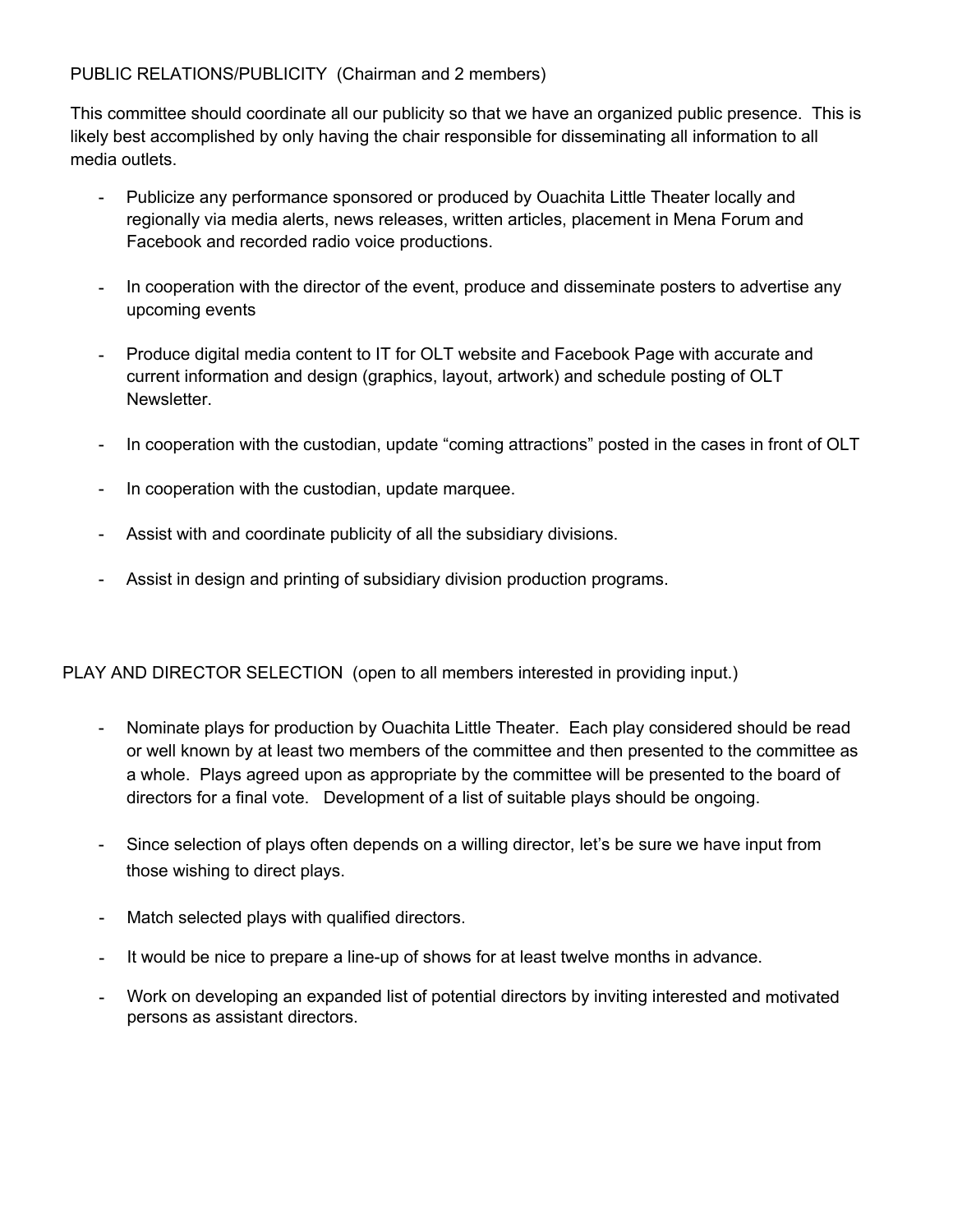PUBLIC RELATIONS/PUBLICITY (Chairman and 2 members)

This committee should coordinate all our publicity so that we have an organized public presence. This is likely best accomplished by only having the chair responsible for disseminating all information to all media outlets.

- Publicize any performance sponsored or produced by Ouachita Little Theater locally and regionally via media alerts, news releases, written articles, placement in Mena Forum and Facebook and recorded radio voice productions.
- In cooperation with the director of the event, produce and disseminate posters to advertise any upcoming events
- Produce digital media content to IT for OLT website and Facebook Page with accurate and current information and design (graphics, layout, artwork) and schedule posting of OLT Newsletter.
- In cooperation with the custodian, update "coming attractions" posted in the cases in front of OLT
- In cooperation with the custodian, update marquee.
- Assist with and coordinate publicity of all the subsidiary divisions.
- Assist in design and printing of subsidiary division production programs.

PLAY AND DIRECTOR SELECTION (open to all members interested in providing input.)

- Nominate plays for production by Ouachita Little Theater. Each play considered should be read or well known by at least two members of the committee and then presented to the committee as a whole. Plays agreed upon as appropriate by the committee will be presented to the board of directors for a final vote. Development of a list of suitable plays should be ongoing.
- Since selection of plays often depends on a willing director, let's be sure we have input from those wishing to direct plays.
- Match selected plays with qualified directors.
- It would be nice to prepare a line-up of shows for at least twelve months in advance.
- Work on developing an expanded list of potential directors by inviting interested and motivated persons as assistant directors.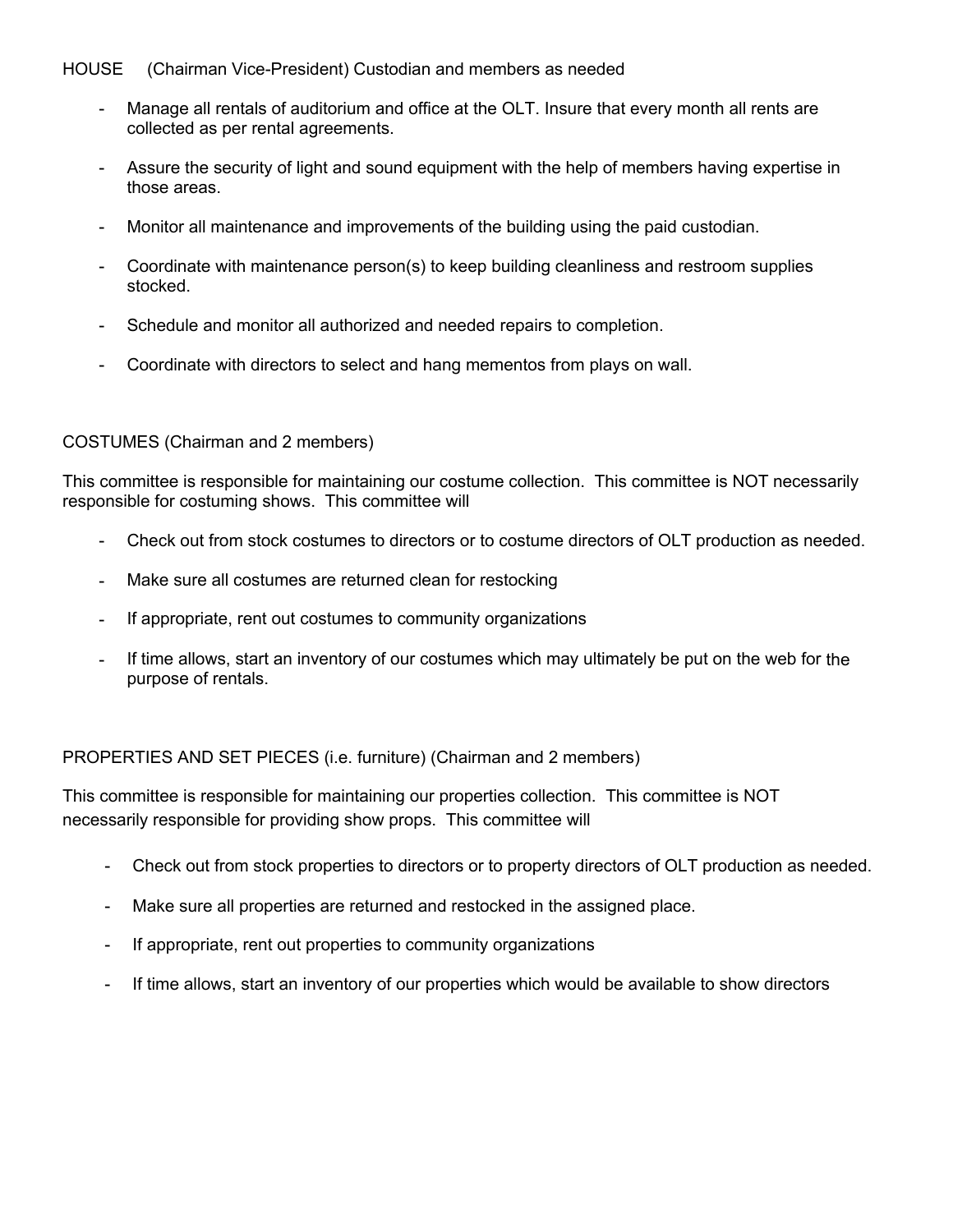### HOUSE (Chairman Vice-President) Custodian and members as needed

- Manage all rentals of auditorium and office at the OLT. Insure that every month all rents are collected as per rental agreements.
- Assure the security of light and sound equipment with the help of members having expertise in those areas.
- Monitor all maintenance and improvements of the building using the paid custodian.
- Coordinate with maintenance person(s) to keep building cleanliness and restroom supplies stocked.
- Schedule and monitor all authorized and needed repairs to completion.
- Coordinate with directors to select and hang mementos from plays on wall.

#### COSTUMES (Chairman and 2 members)

This committee is responsible for maintaining our costume collection. This committee is NOT necessarily responsible for costuming shows. This committee will

- Check out from stock costumes to directors or to costume directors of OLT production as needed.
- Make sure all costumes are returned clean for restocking
- If appropriate, rent out costumes to community organizations
- If time allows, start an inventory of our costumes which may ultimately be put on the web for the purpose of rentals.

### PROPERTIES AND SET PIECES (i.e. furniture) (Chairman and 2 members)

This committee is responsible for maintaining our properties collection. This committee is NOT necessarily responsible for providing show props. This committee will

- Check out from stock properties to directors or to property directors of OLT production as needed.
- Make sure all properties are returned and restocked in the assigned place.
- If appropriate, rent out properties to community organizations
- If time allows, start an inventory of our properties which would be available to show directors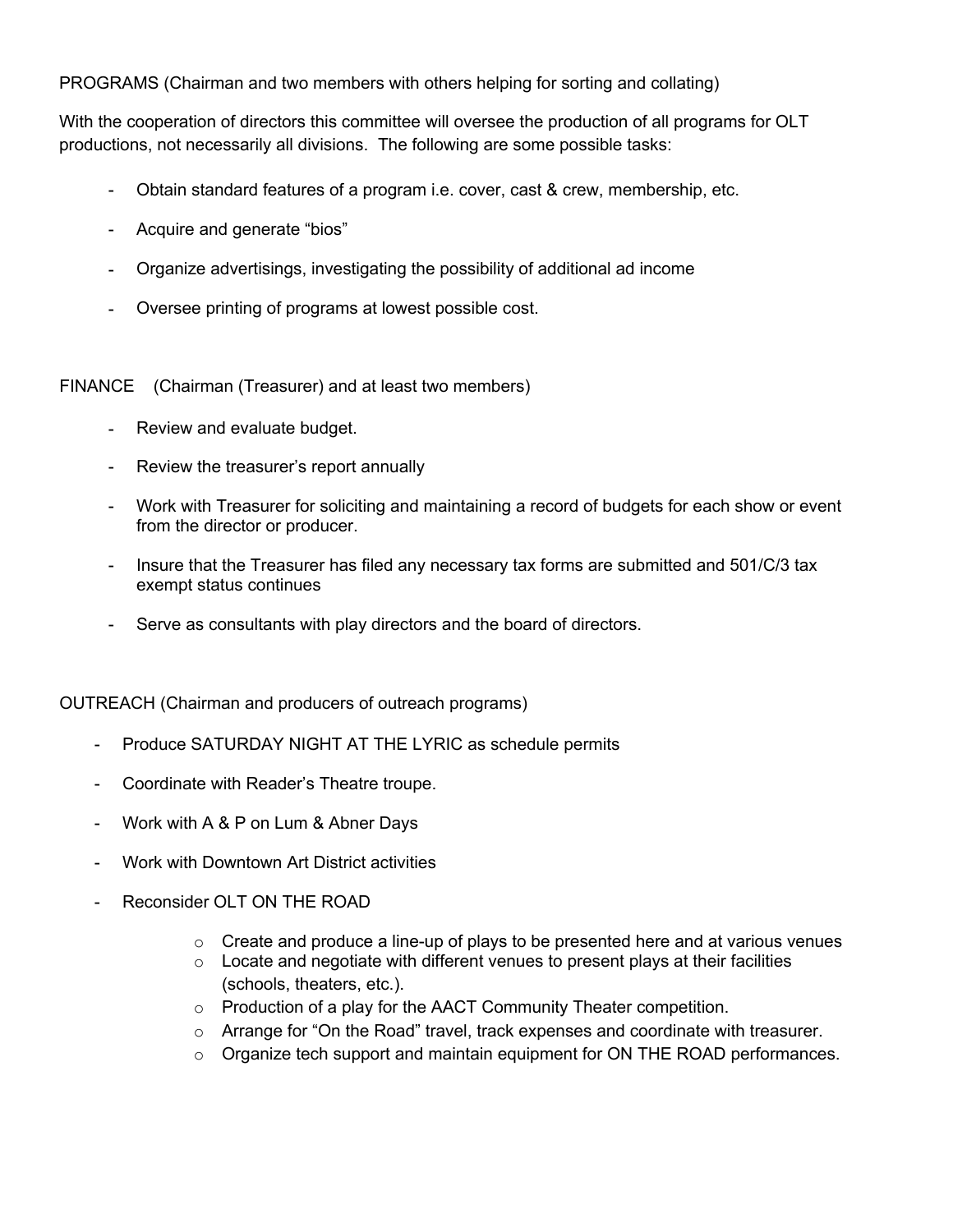PROGRAMS (Chairman and two members with others helping for sorting and collating)

With the cooperation of directors this committee will oversee the production of all programs for OLT productions, not necessarily all divisions. The following are some possible tasks:

- Obtain standard features of a program i.e. cover, cast & crew, membership, etc.
- Acquire and generate "bios"
- Organize advertisings, investigating the possibility of additional ad income
- Oversee printing of programs at lowest possible cost.

FINANCE (Chairman (Treasurer) and at least two members)

- Review and evaluate budget.
- Review the treasurer's report annually
- Work with Treasurer for soliciting and maintaining a record of budgets for each show or event from the director or producer.
- Insure that the Treasurer has filed any necessary tax forms are submitted and 501/C/3 tax exempt status continues
- Serve as consultants with play directors and the board of directors.

OUTREACH (Chairman and producers of outreach programs)

- Produce SATURDAY NIGHT AT THE LYRIC as schedule permits
- Coordinate with Reader's Theatre troupe.
- Work with A & P on Lum & Abner Days
- Work with Downtown Art District activities
- Reconsider OLT ON THE ROAD
	- $\circ$  Create and produce a line-up of plays to be presented here and at various venues
	- $\circ$  Locate and negotiate with different venues to present plays at their facilities (schools, theaters, etc.).
	- o Production of a play for the AACT Community Theater competition.
	- $\circ$  Arrange for "On the Road" travel, track expenses and coordinate with treasurer.
	- $\circ$  Organize tech support and maintain equipment for ON THE ROAD performances.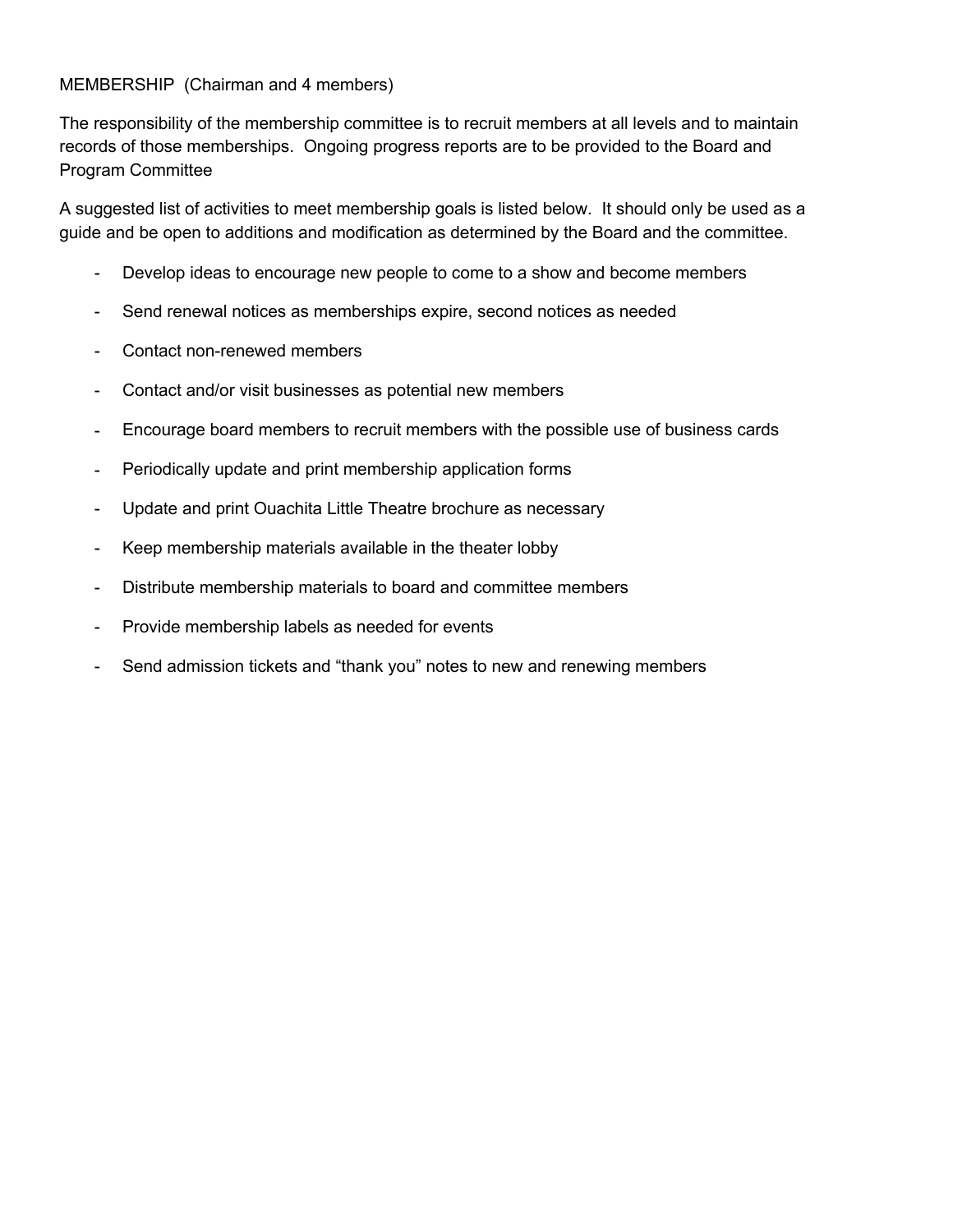# MEMBERSHIP (Chairman and 4 members)

The responsibility of the membership committee is to recruit members at all levels and to maintain records of those memberships. Ongoing progress reports are to be provided to the Board and Program Committee

A suggested list of activities to meet membership goals is listed below. It should only be used as a guide and be open to additions and modification as determined by the Board and the committee.

- Develop ideas to encourage new people to come to a show and become members
- Send renewal notices as memberships expire, second notices as needed
- Contact non-renewed members
- Contact and/or visit businesses as potential new members
- Encourage board members to recruit members with the possible use of business cards
- Periodically update and print membership application forms
- Update and print Ouachita Little Theatre brochure as necessary
- Keep membership materials available in the theater lobby
- Distribute membership materials to board and committee members
- Provide membership labels as needed for events
- Send admission tickets and "thank you" notes to new and renewing members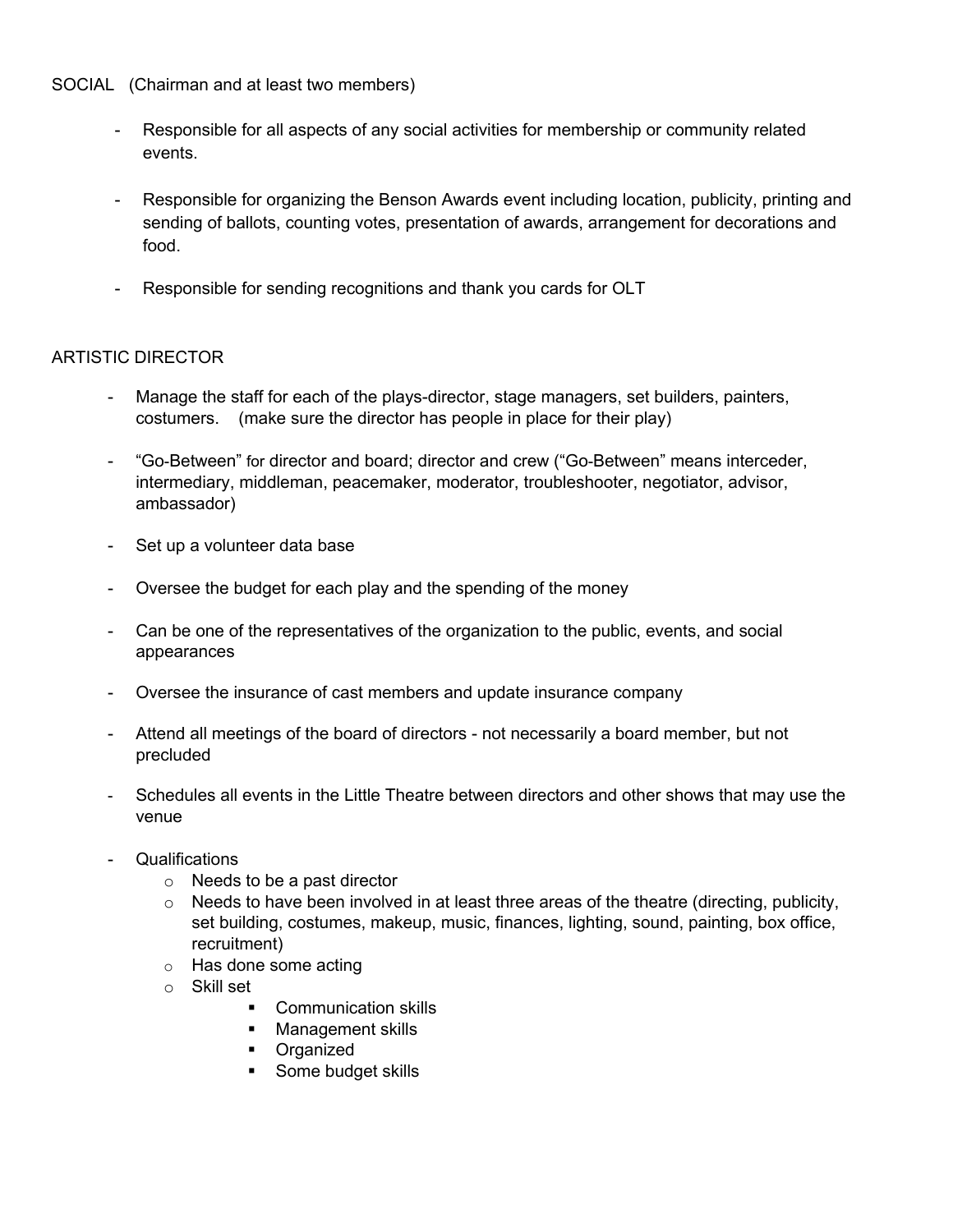### SOCIAL (Chairman and at least two members)

- Responsible for all aspects of any social activities for membership or community related events.
- Responsible for organizing the Benson Awards event including location, publicity, printing and sending of ballots, counting votes, presentation of awards, arrangement for decorations and food.
- Responsible for sending recognitions and thank you cards for OLT

# ARTISTIC DIRECTOR

- Manage the staff for each of the plays-director, stage managers, set builders, painters, costumers. (make sure the director has people in place for their play)
- "Go-Between" for director and board; director and crew ("Go-Between" means interceder, intermediary, middleman, peacemaker, moderator, troubleshooter, negotiator, advisor, ambassador)
- Set up a volunteer data base
- Oversee the budget for each play and the spending of the money
- Can be one of the representatives of the organization to the public, events, and social appearances
- Oversee the insurance of cast members and update insurance company
- Attend all meetings of the board of directors not necessarily a board member, but not precluded
- Schedules all events in the Little Theatre between directors and other shows that may use the venue
- Qualifications
	- o Needs to be a past director
	- $\circ$  Needs to have been involved in at least three areas of the theatre (directing, publicity, set building, costumes, makeup, music, finances, lighting, sound, painting, box office, recruitment)
	- o Has done some acting
	- o Skill set
		- Communication skills
		- § Management skills
		- Organized
		- Some budget skills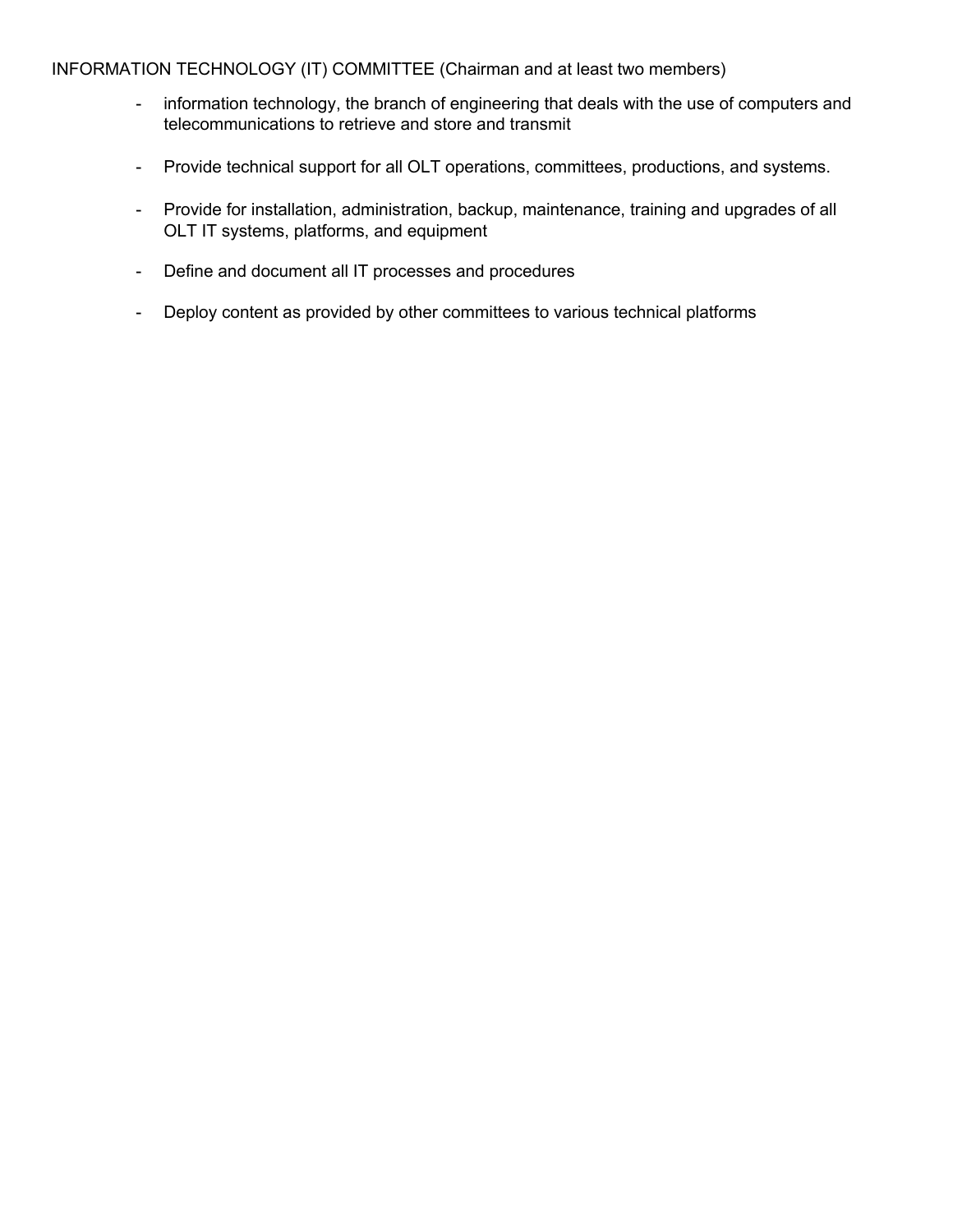INFORMATION TECHNOLOGY (IT) COMMITTEE (Chairman and at least two members)

- information technology, the branch of engineering that deals with the use of computers and telecommunications to retrieve and store and transmit
- Provide technical support for all OLT operations, committees, productions, and systems.
- Provide for installation, administration, backup, maintenance, training and upgrades of all OLT IT systems, platforms, and equipment
- Define and document all IT processes and procedures
- Deploy content as provided by other committees to various technical platforms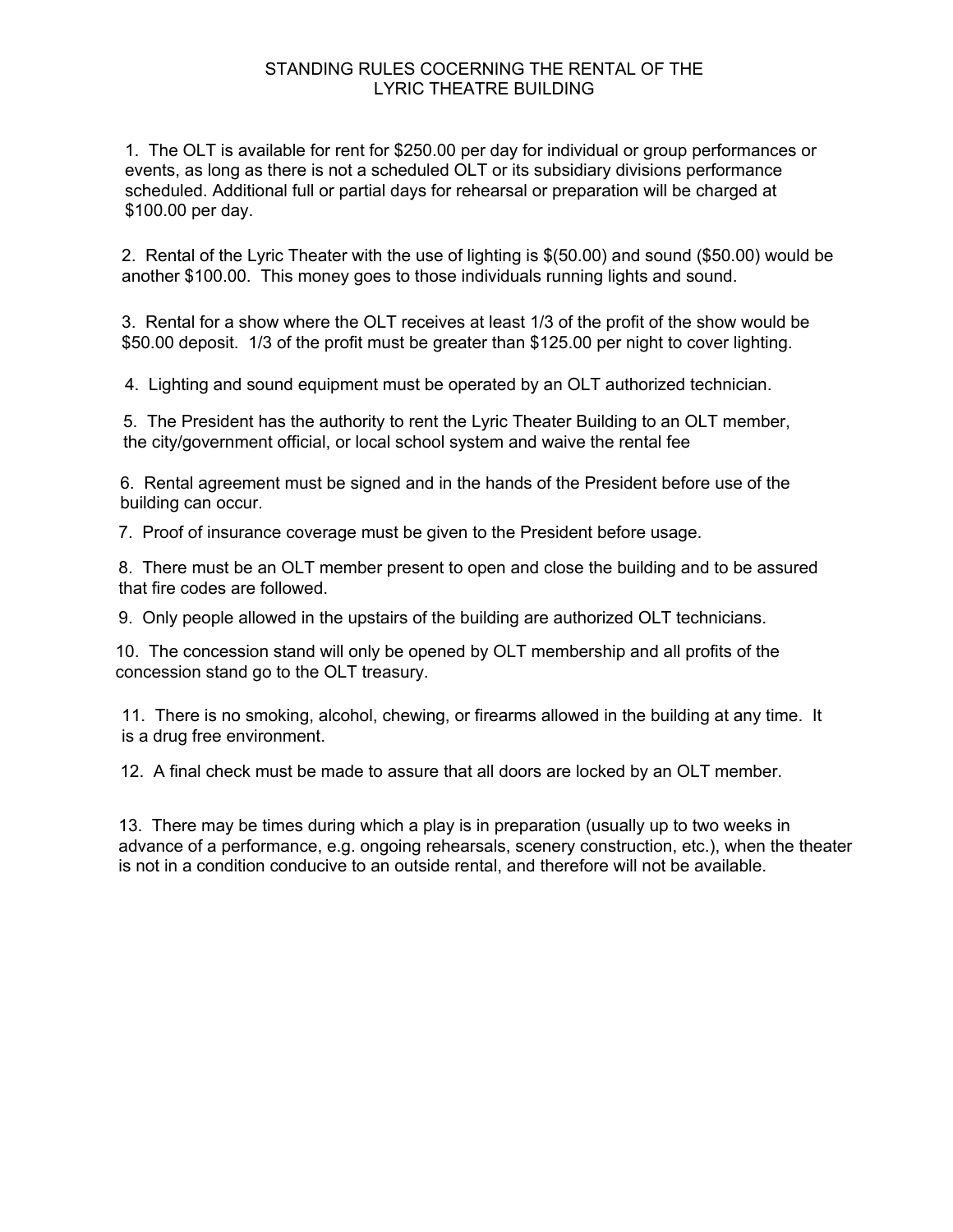1. The OLT is available for rent for \$250.00 per day for individual or group performances or events, as long as there is not a scheduled OLT or its subsidiary divisions performance scheduled. Additional full or partial days for rehearsal or preparation will be charged at \$100.00 per day.

2. Rental of the Lyric Theater with the use of lighting is \$(50.00) and sound (\$50.00) would be another \$100.00. This money goes to those individuals running lights and sound.

3. Rental for a show where the OLT receives at least 1/3 of the profit of the show would be \$50.00 deposit. 1/3 of the profit must be greater than \$125.00 per night to cover lighting.

4. Lighting and sound equipment must be operated by an OLT authorized technician.

5. The President has the authority to rent the Lyric Theater Building to an OLT member, the city/government official, or local school system and waive the rental fee

6. Rental agreement must be signed and in the hands of the President before use of the building can occur.

7. Proof of insurance coverage must be given to the President before usage.

8. There must be an OLT member present to open and close the building and to be assured that fire codes are followed.

9. Only people allowed in the upstairs of the building are authorized OLT technicians.

10. The concession stand will only be opened by OLT membership and all profits of the concession stand go to the OLT treasury.

11. There is no smoking, alcohol, chewing, or firearms allowed in the building at any time. It is a drug free environment.

12. A final check must be made to assure that all doors are locked by an OLT member.

13. There may be times during which a play is in preparation (usually up to two weeks in advance of a performance, e.g. ongoing rehearsals, scenery construction, etc.), when the theater is not in a condition conducive to an outside rental, and therefore will not be available.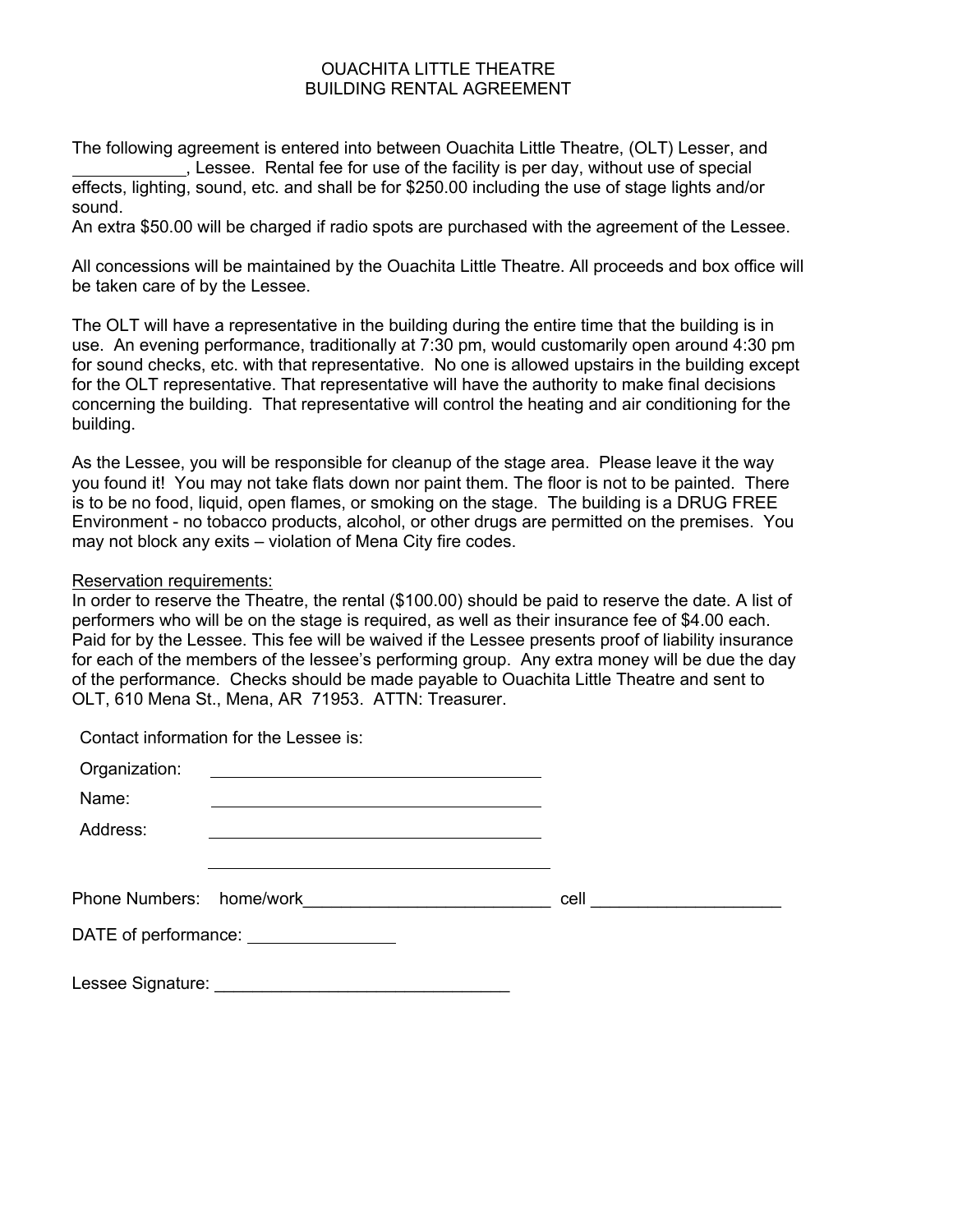#### OUACHITA LITTLE THEATRE BUILDING RENTAL AGREEMENT

The following agreement is entered into between Ouachita Little Theatre, (OLT) Lesser, and , Lessee. Rental fee for use of the facility is per day, without use of special effects, lighting, sound, etc. and shall be for \$250.00 including the use of stage lights and/or sound.

An extra \$50.00 will be charged if radio spots are purchased with the agreement of the Lessee.

All concessions will be maintained by the Ouachita Little Theatre. All proceeds and box office will be taken care of by the Lessee.

The OLT will have a representative in the building during the entire time that the building is in use. An evening performance, traditionally at 7:30 pm, would customarily open around 4:30 pm for sound checks, etc. with that representative. No one is allowed upstairs in the building except for the OLT representative. That representative will have the authority to make final decisions concerning the building. That representative will control the heating and air conditioning for the building.

As the Lessee, you will be responsible for cleanup of the stage area. Please leave it the way you found it! You may not take flats down nor paint them. The floor is not to be painted. There is to be no food, liquid, open flames, or smoking on the stage. The building is a DRUG FREE Environment - no tobacco products, alcohol, or other drugs are permitted on the premises. You may not block any exits – violation of Mena City fire codes.

#### Reservation requirements:

In order to reserve the Theatre, the rental (\$100.00) should be paid to reserve the date. A list of performers who will be on the stage is required, as well as their insurance fee of \$4.00 each. Paid for by the Lessee. This fee will be waived if the Lessee presents proof of liability insurance for each of the members of the lessee's performing group. Any extra money will be due the day of the performance. Checks should be made payable to Ouachita Little Theatre and sent to OLT, 610 Mena St., Mena, AR 71953. ATTN: Treasurer.

Contact information for the Lessee is:

| Organization:<br>Name:<br>Address: | <u> 1989 - Andrea Andrew Maria (b. 1989)</u> |  |                          |
|------------------------------------|----------------------------------------------|--|--------------------------|
| Phone Numbers: home/work           |                                              |  | cell ___________________ |
|                                    | DATE of performance: _________________       |  |                          |
| Lessee Signature:                  |                                              |  |                          |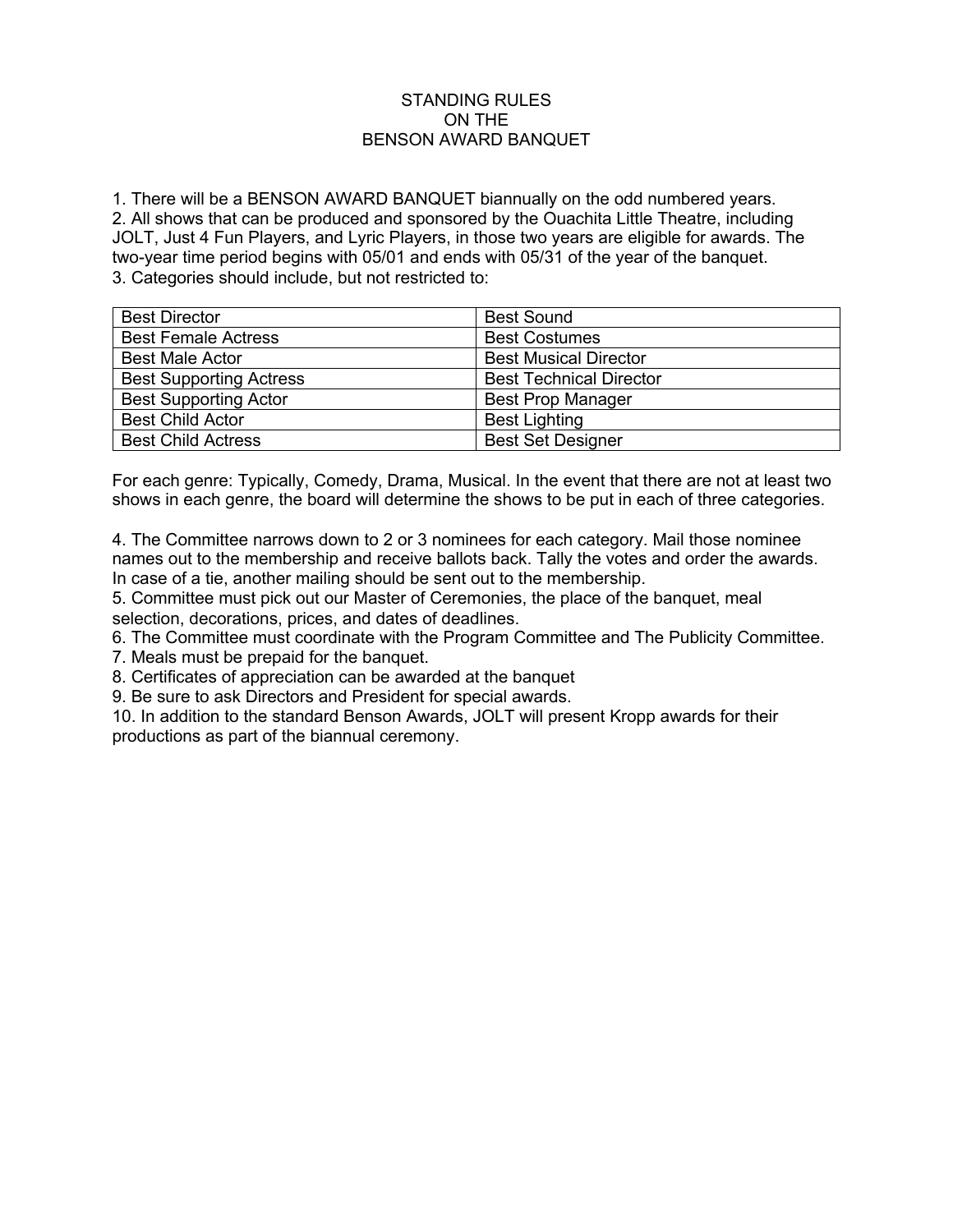#### STANDING RULES ON THE BENSON AWARD BANQUET

1. There will be a BENSON AWARD BANQUET biannually on the odd numbered years. 2. All shows that can be produced and sponsored by the Ouachita Little Theatre, including JOLT, Just 4 Fun Players, and Lyric Players, in those two years are eligible for awards. The two-year time period begins with 05/01 and ends with 05/31 of the year of the banquet. 3. Categories should include, but not restricted to:

| <b>Best Director</b>           | <b>Best Sound</b>              |  |
|--------------------------------|--------------------------------|--|
| <b>Best Female Actress</b>     | <b>Best Costumes</b>           |  |
| <b>Best Male Actor</b>         | <b>Best Musical Director</b>   |  |
| <b>Best Supporting Actress</b> | <b>Best Technical Director</b> |  |
| <b>Best Supporting Actor</b>   | <b>Best Prop Manager</b>       |  |
| <b>Best Child Actor</b>        | <b>Best Lighting</b>           |  |
| <b>Best Child Actress</b>      | <b>Best Set Designer</b>       |  |

For each genre: Typically, Comedy, Drama, Musical. In the event that there are not at least two shows in each genre, the board will determine the shows to be put in each of three categories.

4. The Committee narrows down to 2 or 3 nominees for each category. Mail those nominee names out to the membership and receive ballots back. Tally the votes and order the awards. In case of a tie, another mailing should be sent out to the membership.

5. Committee must pick out our Master of Ceremonies, the place of the banquet, meal selection, decorations, prices, and dates of deadlines.

6. The Committee must coordinate with the Program Committee and The Publicity Committee.

7. Meals must be prepaid for the banquet.

8. Certificates of appreciation can be awarded at the banquet

9. Be sure to ask Directors and President for special awards.

10. In addition to the standard Benson Awards, JOLT will present Kropp awards for their productions as part of the biannual ceremony.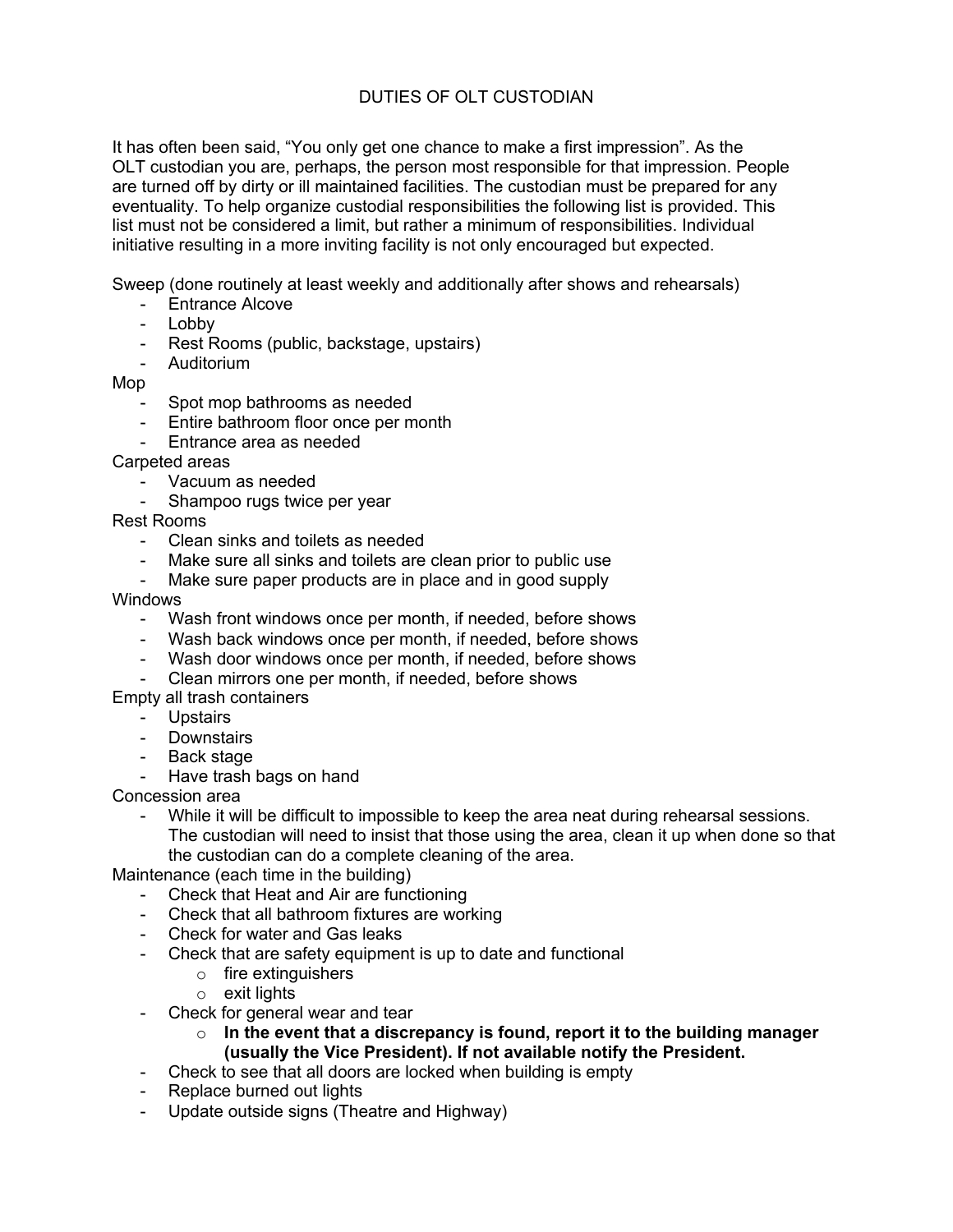# DUTIES OF OLT CUSTODIAN

It has often been said, "You only get one chance to make a first impression". As the OLT custodian you are, perhaps, the person most responsible for that impression. People are turned off by dirty or ill maintained facilities. The custodian must be prepared for any eventuality. To help organize custodial responsibilities the following list is provided. This list must not be considered a limit, but rather a minimum of responsibilities. Individual initiative resulting in a more inviting facility is not only encouraged but expected.

Sweep (done routinely at least weekly and additionally after shows and rehearsals)

- Entrance Alcove
- Lobby
- Rest Rooms (public, backstage, upstairs)
- Auditorium

Mop

- Spot mop bathrooms as needed
- Entire bathroom floor once per month
- Entrance area as needed

Carpeted areas

- Vacuum as needed<br>- Shamnoo rugs twice
- Shampoo rugs twice per year

Rest Rooms

- Clean sinks and toilets as needed
- Make sure all sinks and toilets are clean prior to public use
- Make sure paper products are in place and in good supply

**Windows** 

- Wash front windows once per month, if needed, before shows
- Wash back windows once per month, if needed, before shows
- Wash door windows once per month, if needed, before shows
- Clean mirrors one per month, if needed, before shows

Empty all trash containers

- Upstairs
- Downstairs
- Back stage
- Have trash bags on hand

Concession area

While it will be difficult to impossible to keep the area neat during rehearsal sessions. The custodian will need to insist that those using the area, clean it up when done so that the custodian can do a complete cleaning of the area.

Maintenance (each time in the building)

- Check that Heat and Air are functioning
- Check that all bathroom fixtures are working
- Check for water and Gas leaks
- Check that are safety equipment is up to date and functional
	- o fire extinguishers
	- $\circ$  exit lights
- Check for general wear and tear
	- o **In the event that a discrepancy is found, report it to the building manager (usually the Vice President). If not available notify the President.**
- Check to see that all doors are locked when building is empty
- Replace burned out lights
- Update outside signs (Theatre and Highway)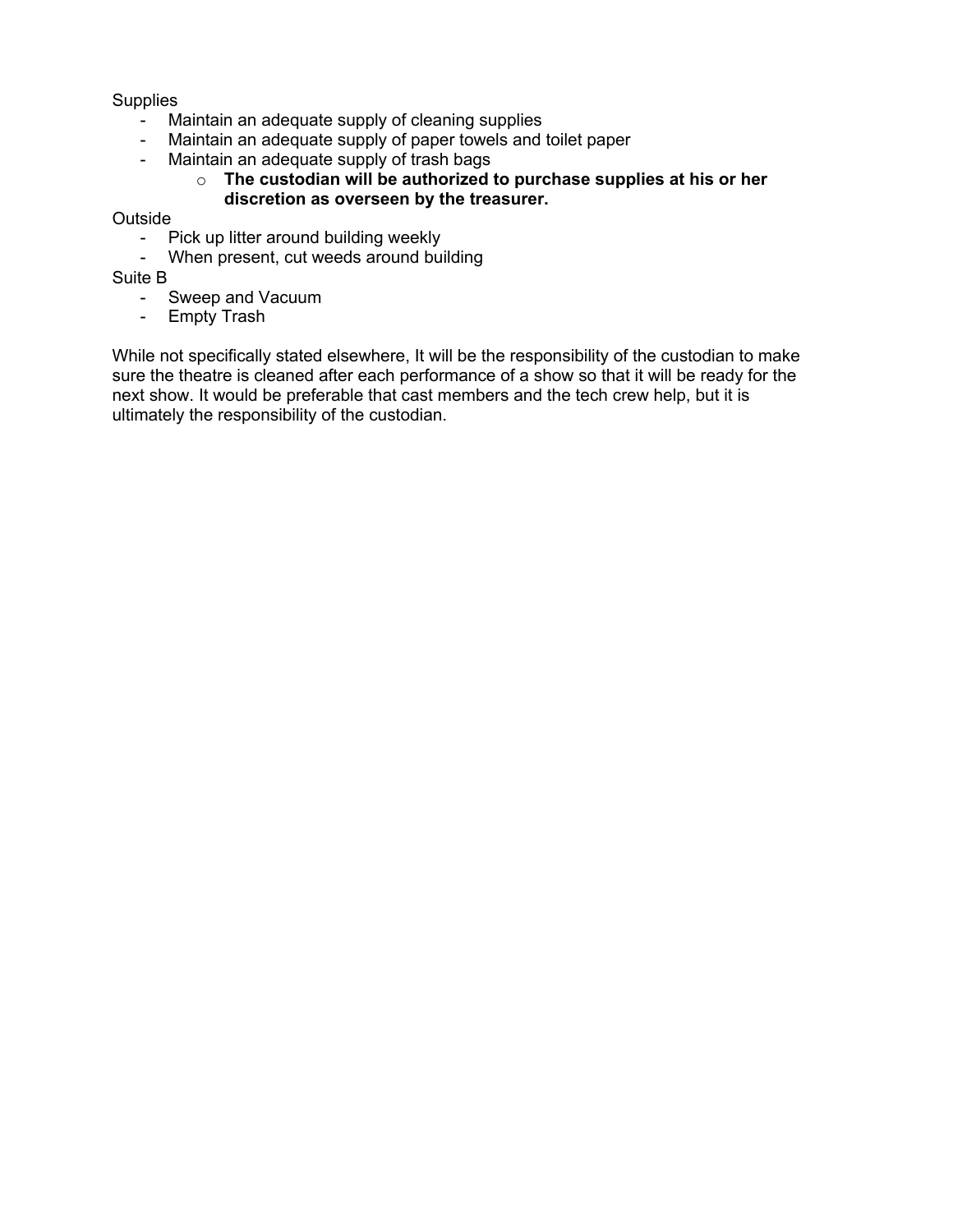**Supplies** 

- Maintain an adequate supply of cleaning supplies
- Maintain an adequate supply of paper towels and toilet paper
- Maintain an adequate supply of trash bags
	- o **The custodian will be authorized to purchase supplies at his or her discretion as overseen by the treasurer.**

**Outside** 

- Pick up litter around building weekly
- When present, cut weeds around building

Suite B

- Sweep and Vacuum
- Empty Trash

While not specifically stated elsewhere, It will be the responsibility of the custodian to make sure the theatre is cleaned after each performance of a show so that it will be ready for the next show. It would be preferable that cast members and the tech crew help, but it is ultimately the responsibility of the custodian.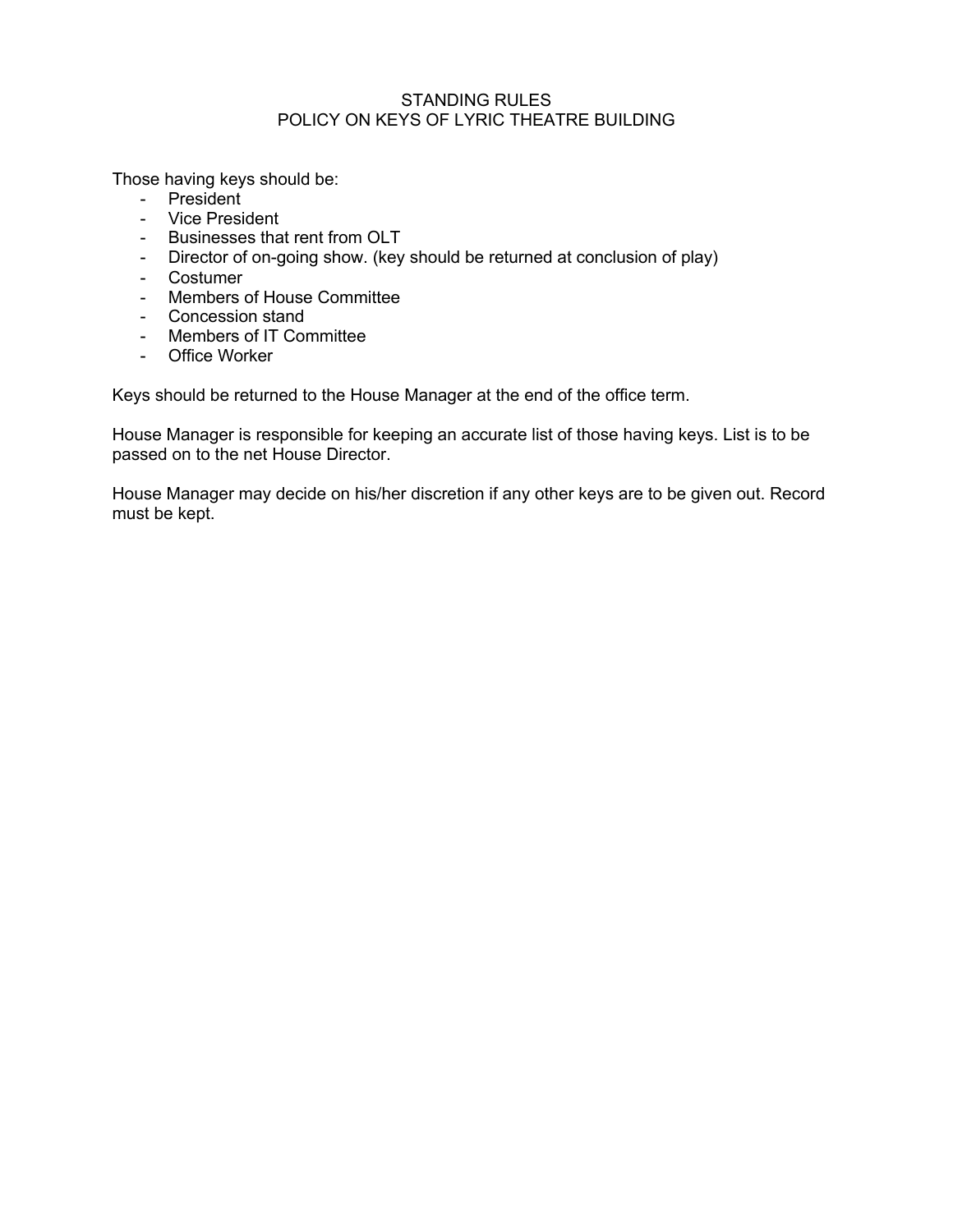#### STANDING RULES POLICY ON KEYS OF LYRIC THEATRE BUILDING

Those having keys should be:

- President
- Vice President
- Businesses that rent from OLT
- Director of on-going show. (key should be returned at conclusion of play)
- Costumer
- Members of House Committee
- Concession stand
- Members of IT Committee
- Office Worker

Keys should be returned to the House Manager at the end of the office term.

House Manager is responsible for keeping an accurate list of those having keys. List is to be passed on to the net House Director.

House Manager may decide on his/her discretion if any other keys are to be given out. Record must be kept.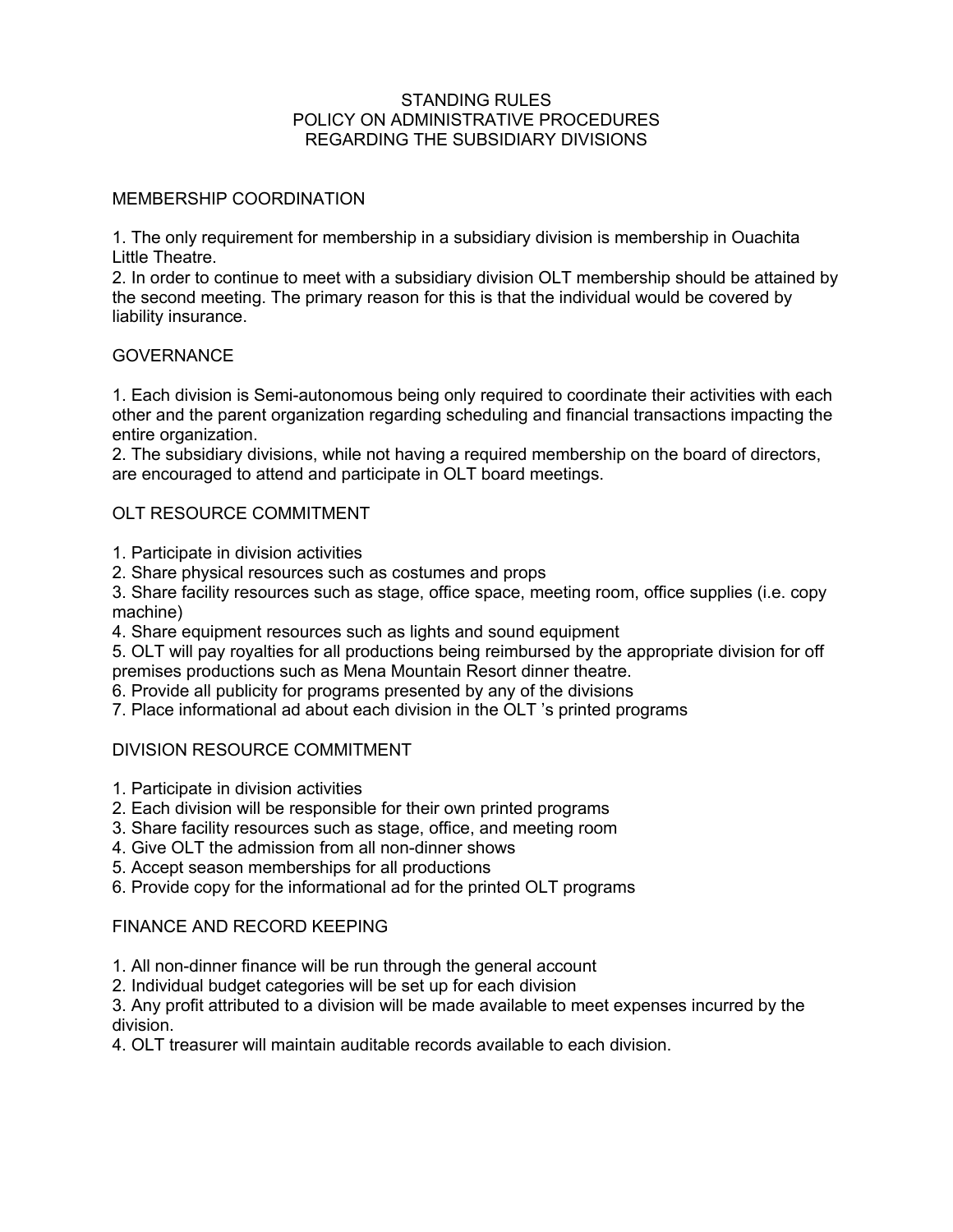#### STANDING RULES POLICY ON ADMINISTRATIVE PROCEDURES REGARDING THE SUBSIDIARY DIVISIONS

## MEMBERSHIP COORDINATION

1. The only requirement for membership in a subsidiary division is membership in Ouachita Little Theatre.

2. In order to continue to meet with a subsidiary division OLT membership should be attained by the second meeting. The primary reason for this is that the individual would be covered by liability insurance.

### **GOVERNANCE**

1. Each division is Semi-autonomous being only required to coordinate their activities with each other and the parent organization regarding scheduling and financial transactions impacting the entire organization.

2. The subsidiary divisions, while not having a required membership on the board of directors, are encouraged to attend and participate in OLT board meetings.

# OLT RESOURCE COMMITMENT

- 1. Participate in division activities
- 2. Share physical resources such as costumes and props

3. Share facility resources such as stage, office space, meeting room, office supplies (i.e. copy machine)

4. Share equipment resources such as lights and sound equipment

5. OLT will pay royalties for all productions being reimbursed by the appropriate division for off premises productions such as Mena Mountain Resort dinner theatre.

6. Provide all publicity for programs presented by any of the divisions

7. Place informational ad about each division in the OLT 's printed programs

# DIVISION RESOURCE COMMITMENT

- 1. Participate in division activities
- 2. Each division will be responsible for their own printed programs
- 3. Share facility resources such as stage, office, and meeting room
- 4. Give OLT the admission from all non-dinner shows
- 5. Accept season memberships for all productions
- 6. Provide copy for the informational ad for the printed OLT programs

### FINANCE AND RECORD KEEPING

- 1. All non-dinner finance will be run through the general account
- 2. Individual budget categories will be set up for each division

3. Any profit attributed to a division will be made available to meet expenses incurred by the division.

4. OLT treasurer will maintain auditable records available to each division.